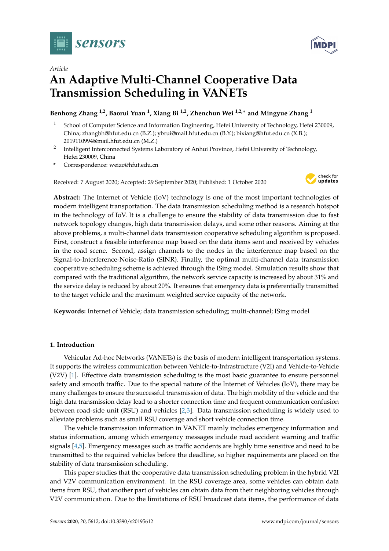



# *Article* **An Adaptive Multi-Channel Cooperative Data Transmission Scheduling in VANETs**

# **Benhong Zhang 1,2, Baorui Yuan <sup>1</sup> , Xiang Bi 1,2, Zhenchun Wei 1,2,**<sup>∗</sup> **and Mingyue Zhang <sup>1</sup>**

- <sup>1</sup> School of Computer Science and Information Engineering, Hefei University of Technology, Hefei 230009, China; zhangbh@hfut.edu.cn (B.Z.); ybrui@mail.hfut.edu.cn (B.Y.); bixiang@hfut.edu.cn (X.B.); 2019110994@mail.hfut.edu.cn (M.Z.)
- <sup>2</sup> Intelligent Interconnected Systems Laboratory of Anhui Province, Hefei University of Technology, Hefei 230009, China
- **\*** Correspondence: weizc@hfut.edu.cn

Received: 7 August 2020; Accepted: 29 September 2020; Published: 1 October 2020



**Abstract:** The Internet of Vehicle (IoV) technology is one of the most important technologies of modern intelligent transportation. The data transmission scheduling method is a research hotspot in the technology of IoV. It is a challenge to ensure the stability of data transmission due to fast network topology changes, high data transmission delays, and some other reasons. Aiming at the above problems, a multi-channel data transmission cooperative scheduling algorithm is proposed. First, construct a feasible interference map based on the data items sent and received by vehicles in the road scene. Second, assign channels to the nodes in the interference map based on the Signal-to-Interference-Noise-Ratio (SINR). Finally, the optimal multi-channel data transmission cooperative scheduling scheme is achieved through the ISing model. Simulation results show that compared with the traditional algorithm, the network service capacity is increased by about 31% and the service delay is reduced by about 20%. It ensures that emergency data is preferentially transmitted to the target vehicle and the maximum weighted service capacity of the network.

**Keywords:** Internet of Vehicle; data transmission scheduling; multi-channel; ISing model

## **1. Introduction**

Vehicular Ad-hoc Networks (VANETs) is the basis of modern intelligent transportation systems. It supports the wireless communication between Vehicle-to-Infrastructure (V2I) and Vehicle-to-Vehicle (V2V) [\[1\]](#page-13-0). Effective data transmission scheduling is the most basic guarantee to ensure personnel safety and smooth traffic. Due to the special nature of the Internet of Vehicles (IoV), there may be many challenges to ensure the successful transmission of data. The high mobility of the vehicle and the high data transmission delay lead to a shorter connection time and frequent communication confusion between road-side unit (RSU) and vehicles [\[2,](#page-13-1)[3\]](#page-13-2). Data transmission scheduling is widely used to alleviate problems such as small RSU coverage and short vehicle connection time.

The vehicle transmission information in VANET mainly includes emergency information and status information, among which emergency messages include road accident warning and traffic signals [\[4,](#page-13-3)[5\]](#page-13-4). Emergency messages such as traffic accidents are highly time sensitive and need to be transmitted to the required vehicles before the deadline, so higher requirements are placed on the stability of data transmission scheduling.

This paper studies that the cooperative data transmission scheduling problem in the hybrid V2I and V2V communication environment. In the RSU coverage area, some vehicles can obtain data items from RSU, that another part of vehicles can obtain data from their neighboring vehicles through V2V communication. Due to the limitations of RSU broadcast data items, the performance of data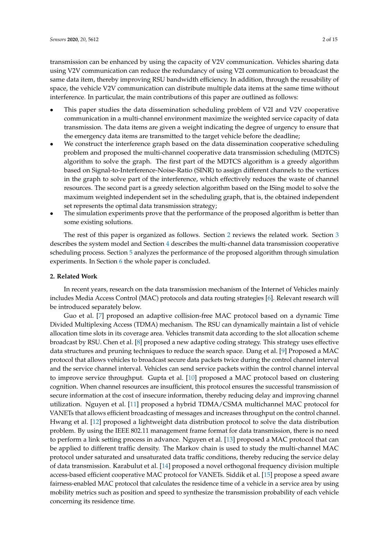transmission can be enhanced by using the capacity of V2V communication. Vehicles sharing data using V2V communication can reduce the redundancy of using V2I communication to broadcast the same data item, thereby improving RSU bandwidth efficiency. In addition, through the reusability of space, the vehicle V2V communication can distribute multiple data items at the same time without interference. In particular, the main contributions of this paper are outlined as follows:

- This paper studies the data dissemination scheduling problem of V2I and V2V cooperative communication in a multi-channel environment maximize the weighted service capacity of data transmission. The data items are given a weight indicating the degree of urgency to ensure that the emergency data items are transmitted to the target vehicle before the deadline;
- We construct the interference graph based on the data dissemination cooperative scheduling problem and proposed the multi-channel cooperative data transmission scheduling (MDTCS) algorithm to solve the graph. The first part of the MDTCS algorithm is a greedy algorithm based on Signal-to-Interference-Noise-Ratio (SINR) to assign different channels to the vertices in the graph to solve part of the interference, which effectively reduces the waste of channel resources. The second part is a greedy selection algorithm based on the ISing model to solve the maximum weighted independent set in the scheduling graph, that is, the obtained independent set represents the optimal data transmission strategy;
- The simulation experiments prove that the performance of the proposed algorithm is better than some existing solutions.

The rest of this paper is organized as follows. Section [2](#page-1-0) reviews the related work. Section [3](#page-2-0) describes the system model and Section [4](#page-4-0) describes the multi-channel data transmission cooperative scheduling process. Section [5](#page-9-0) analyzes the performance of the proposed algorithm through simulation experiments. In Section [6](#page-12-0) the whole paper is concluded.

## <span id="page-1-0"></span>**2. Related Work**

In recent years, research on the data transmission mechanism of the Internet of Vehicles mainly includes Media Access Control (MAC) protocols and data routing strategies [\[6\]](#page-13-5). Relevant research will be introduced separately below.

Guo et al. [\[7\]](#page-13-6) proposed an adaptive collision-free MAC protocol based on a dynamic Time Divided Multiplexing Access (TDMA) mechanism. The RSU can dynamically maintain a list of vehicle allocation time slots in its coverage area. Vehicles transmit data according to the slot allocation scheme broadcast by RSU. Chen et al. [\[8\]](#page-13-7) proposed a new adaptive coding strategy. This strategy uses effective data structures and pruning techniques to reduce the search space. Dang et al. [\[9\]](#page-13-8) Proposed a MAC protocol that allows vehicles to broadcast secure data packets twice during the control channel interval and the service channel interval. Vehicles can send service packets within the control channel interval to improve service throughput. Gupta et al. [\[10\]](#page-13-9) proposed a MAC protocol based on clustering cognition. When channel resources are insufficient, this protocol ensures the successful transmission of secure information at the cost of insecure information, thereby reducing delay and improving channel utilization. Nguyen et al. [\[11\]](#page-13-10) proposed a hybrid TDMA/CSMA multichannel MAC protocol for VANETs that allows efficient broadcasting of messages and increases throughput on the control channel. Hwang et al. [\[12\]](#page-13-11) proposed a lightweight data distribution protocol to solve the data distribution problem. By using the IEEE 802.11 management frame format for data transmission, there is no need to perform a link setting process in advance. Nguyen et al. [\[13\]](#page-13-12) proposed a MAC protocol that can be applied to different traffic density. The Markov chain is used to study the multi-channel MAC protocol under saturated and unsaturated data traffic conditions, thereby reducing the service delay of data transmission. Karabulut et al. [\[14\]](#page-13-13) proposed a novel orthogonal frequency division multiple access-based efficient cooperative MAC protocol for VANETs. Siddik et al. [\[15\]](#page-13-14) propose a speed aware fairness-enabled MAC protocol that calculates the residence time of a vehicle in a service area by using mobility metrics such as position and speed to synthesize the transmission probability of each vehicle concerning its residence time.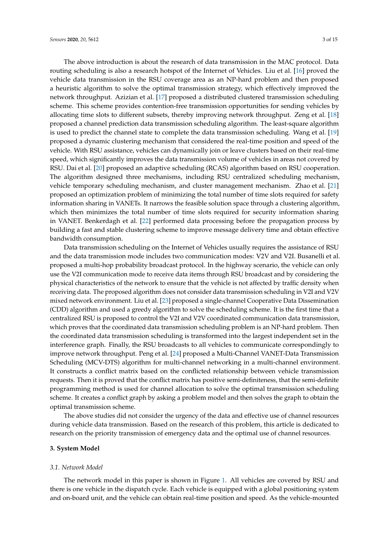The above introduction is about the research of data transmission in the MAC protocol. Data routing scheduling is also a research hotspot of the Internet of Vehicles. Liu et al. [\[16\]](#page-13-15) proved the vehicle data transmission in the RSU coverage area as an NP-hard problem and then proposed a heuristic algorithm to solve the optimal transmission strategy, which effectively improved the network throughput. Azizian et al. [\[17\]](#page-13-16) proposed a distributed clustered transmission scheduling scheme. This scheme provides contention-free transmission opportunities for sending vehicles by allocating time slots to different subsets, thereby improving network throughput. Zeng et al. [\[18\]](#page-13-17) proposed a channel prediction data transmission scheduling algorithm. The least-square algorithm is used to predict the channel state to complete the data transmission scheduling. Wang et al. [\[19\]](#page-13-18) proposed a dynamic clustering mechanism that considered the real-time position and speed of the vehicle. With RSU assistance, vehicles can dynamically join or leave clusters based on their real-time speed, which significantly improves the data transmission volume of vehicles in areas not covered by RSU. Dai et al. [\[20\]](#page-13-19) proposed an adaptive scheduling (RCAS) algorithm based on RSU cooperation. The algorithm designed three mechanisms, including RSU centralized scheduling mechanism, vehicle temporary scheduling mechanism, and cluster management mechanism. Zhao et al. [\[21\]](#page-13-20) proposed an optimization problem of minimizing the total number of time slots required for safety information sharing in VANETs. It narrows the feasible solution space through a clustering algorithm, which then minimizes the total number of time slots required for security information sharing in VANET. Benkerdagh et al. [\[22\]](#page-14-0) performed data processing before the propagation process by building a fast and stable clustering scheme to improve message delivery time and obtain effective bandwidth consumption.

Data transmission scheduling on the Internet of Vehicles usually requires the assistance of RSU and the data transmission mode includes two communication modes: V2V and V2I. Busanelli et al. proposed a multi-hop probability broadcast protocol. In the highway scenario, the vehicle can only use the V2I communication mode to receive data items through RSU broadcast and by considering the physical characteristics of the network to ensure that the vehicle is not affected by traffic density when receiving data. The proposed algorithm does not consider data transmission scheduling in V2I and V2V mixed network environment. Liu et al. [\[23\]](#page-14-1) proposed a single-channel Cooperative Data Dissemination (CDD) algorithm and used a greedy algorithm to solve the scheduling scheme. It is the first time that a centralized RSU is proposed to control the V2I and V2V coordinated communication data transmission, which proves that the coordinated data transmission scheduling problem is an NP-hard problem. Then the coordinated data transmission scheduling is transformed into the largest independent set in the interference graph. Finally, the RSU broadcasts to all vehicles to communicate correspondingly to improve network throughput. Peng et al. [\[24\]](#page-14-2) proposed a Multi-Channel VANET-Data Transmission Scheduling (MCV-DTS) algorithm for multi-channel networking in a multi-channel environment. It constructs a conflict matrix based on the conflicted relationship between vehicle transmission requests. Then it is proved that the conflict matrix has positive semi-definiteness, that the semi-definite programming method is used for channel allocation to solve the optimal transmission scheduling scheme. It creates a conflict graph by asking a problem model and then solves the graph to obtain the optimal transmission scheme.

The above studies did not consider the urgency of the data and effective use of channel resources during vehicle data transmission. Based on the research of this problem, this article is dedicated to research on the priority transmission of emergency data and the optimal use of channel resources.

## <span id="page-2-0"></span>**3. System Model**

#### *3.1. Network Model*

The network model in this paper is shown in Figure [1.](#page-3-0) All vehicles are covered by RSU and there is one vehicle in the dispatch cycle. Each vehicle is equipped with a global positioning system and on-board unit, and the vehicle can obtain real-time position and speed. As the vehicle-mounted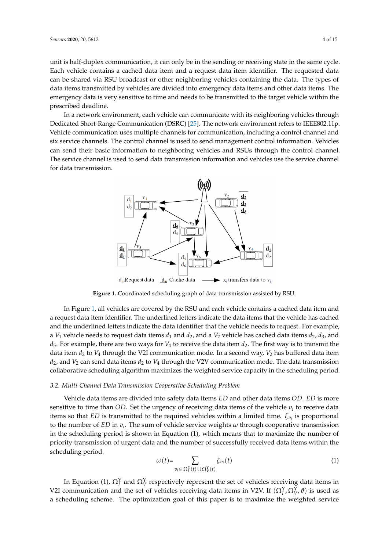unit is half-duplex communication, it can only be in the sending or receiving state in the same cycle. Each vehicle contains a cached data item and a request data item identifier. The requested data can be shared via RSU broadcast or other neighboring vehicles containing the data. The types of data items transmitted by vehicles are divided into emergency data items and other data items. The emergency data is very sensitive to time and needs to be transmitted to the target vehicle within the prescribed deadline.

<span id="page-3-0"></span>In a network environment, each vehicle can communicate with its neighboring vehicles through Dedicated Short-Range Communication (DSRC) [\[25\]](#page-14-3). The network environment refers to IEEE802.11p. Vehicle communication uses multiple channels for communication, including a control channel and six service channels. The control channel is used to send management control information. Vehicles can send their basic information to neighboring vehicles and RSUs through the control channel. The service channel is used to send data transmission information and vehicles use the service channel for data transmission.



**Figure 1.** Coordinated scheduling graph of data transmission assisted by RSU.

In Figure [1,](#page-3-0) all vehicles are covered by the RSU and each vehicle contains a cached data item and a request data item identifier. The underlined letters indicate the data items that the vehicle has cached and the underlined letters indicate the data identifier that the vehicle needs to request. For example, a *V*<sub>1</sub> vehicle needs to request data items  $d_1$  and  $d_2$ , and a *V*<sub>2</sub> vehicle has cached data items  $d_2$ ,  $d_3$ , and  $d_5$ . For example, there are two ways for  $V_4$  to receive the data item  $d_2$ . The first way is to transmit the data item *d*<sup>2</sup> to *V*<sup>4</sup> through the V2I communication mode. In a second way, *V*<sup>2</sup> has buffered data item *d*2, and *V*<sup>2</sup> can send data items *d*<sup>2</sup> to *V*<sup>4</sup> through the V2V communication mode. The data transmission collaborative scheduling algorithm maximizes the weighted service capacity in the scheduling period.

## *3.2. Multi-Channel Data Transmission Cooperative Scheduling Problem*

Vehicle data items are divided into safety data items *ED* and other data items *OD*. *ED* is more sensitive to time than  $OD$ . Set the urgency of receiving data items of the vehicle  $v_i$  to receive data items so that *ED* is transmitted to the required vehicles within a limited time. *ζv<sup>i</sup>* is proportional to the number of *ED* in  $v_i$ . The sum of vehicle service weights  $\omega$  through cooperative transmission in the scheduling period is shown in Equation (1), which means that to maximize the number of priority transmission of urgent data and the number of successfully received data items within the scheduling period.

$$
\omega(t) = \sum_{v_i \in \Omega_I^Y(t) \cup \Omega_V^Y(t)} \zeta_{v_i}(t) \tag{1}
$$

In Equation (1),  $\Omega_I^Y$  and  $\Omega_V^Y$  respectively represent the set of vehicles receiving data items in V2I communication and the set of vehicles receiving data items in V2V. If  $(\Omega_I^Y, \Omega_V^Y, \theta)$  is used as a scheduling scheme. The optimization goal of this paper is to maximize the weighted service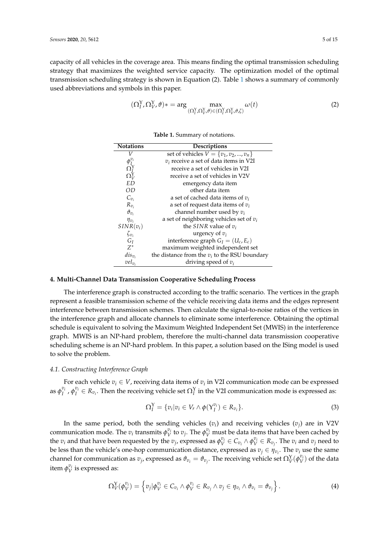capacity of all vehicles in the coverage area. This means finding the optimal transmission scheduling strategy that maximizes the weighted service capacity. The optimization model of the optimal transmission scheduling strategy is shown in Equation (2). Table [1](#page-4-1) shows a summary of commonly used abbreviations and symbols in this paper.

$$
(\Omega_I^Y, \Omega_V^Y, \vartheta) * = \arg \max_{(\Omega_I^Y, \Omega_V^Y, \vartheta) \in (\Omega_I^Y, \Omega_V^Y, \vartheta, \zeta)} \omega(t)
$$
 (2)

<span id="page-4-1"></span>

| <b>Notations</b>                            | Descriptions                                    |  |  |  |  |  |
|---------------------------------------------|-------------------------------------------------|--|--|--|--|--|
|                                             | set of vehicles $V = \{v_1, v_2, , v_n\}$       |  |  |  |  |  |
| $\phi^{\boldsymbol{v}_i}_J$                 | $v_i$ receive a set of data items in V2I        |  |  |  |  |  |
|                                             | receive a set of vehicles in V2I                |  |  |  |  |  |
| $\Omega^{\Upsilon}_V \ \Omega^{\Upsilon}_V$ | receive a set of vehicles in V2V                |  |  |  |  |  |
| <b>ED</b>                                   | emergency data item                             |  |  |  |  |  |
| OD                                          | other data item                                 |  |  |  |  |  |
| $C_{v_i}$                                   | a set of cached data items of $v_i$             |  |  |  |  |  |
| $R_{v_i}$                                   | a set of request data items of $v_i$            |  |  |  |  |  |
| $\vartheta_{v_i}$                           | channel number used by $v_i$                    |  |  |  |  |  |
| $\eta_{v_i}$                                | a set of neighboring vehicles set of $v_i$      |  |  |  |  |  |
| $SINR(v_i)$                                 | the SINR value of $v_i$                         |  |  |  |  |  |
| $\zeta_{v_i}$                               | urgency of $v_i$                                |  |  |  |  |  |
| $G_I$                                       | interference graph $G_I = (U_c, E_c)$           |  |  |  |  |  |
| $Z^*$                                       | maximum weighted independent set                |  |  |  |  |  |
| $dis_{v_i}$                                 | the distance from the $v_i$ to the RSU boundary |  |  |  |  |  |
| $vel_{v_i}$                                 | driving speed of $v_i$                          |  |  |  |  |  |

**Table 1.** Summary of notations.

## <span id="page-4-0"></span>**4. Multi-Channel Data Transmission Cooperative Scheduling Process**

The interference graph is constructed according to the traffic scenario. The vertices in the graph represent a feasible transmission scheme of the vehicle receiving data items and the edges represent interference between transmission schemes. Then calculate the signal-to-noise ratios of the vertices in the interference graph and allocate channels to eliminate some interference. Obtaining the optimal schedule is equivalent to solving the Maximum Weighted Independent Set (MWIS) in the interference graph. MWIS is an NP-hard problem, therefore the multi-channel data transmission cooperative scheduling scheme is an NP-hard problem. In this paper, a solution based on the ISing model is used to solve the problem.

## *4.1. Constructing Interference Graph*

For each vehicle  $v_i \in V$ , receiving data items of  $v_i$  in V2I communication mode can be expressed as  $\phi_I^{v_i}$ ,  $\phi_I^{v_i} \in R_{v_i}$ . Then the receiving vehicle set  $\Omega_I^Y$  in the V2I communication mode is expressed as:

$$
\Omega_I^{\mathbf{Y}} = \{v_i | v_i \in V_r \wedge \phi(\mathbf{Y}_I^{v_i}) \in R_{v_i}\}.
$$
\n
$$
(3)
$$

In the same period, both the sending vehicles  $(v_i)$  and receiving vehicles  $(v_j)$  are in V2V communication mode. The  $v_i$  transmits  $\phi_V^{v_i}$  to  $v_j$ . The  $\phi_V^{v_i}$  must be data items that have been cached by the  $v_i$  and that have been requested by the  $v_j$ , expressed as  $\phi_V^{v_i} \in C_{v_i} \wedge \phi_V^{v_i} \in R_{v_j}$ . The  $v_i$  and  $v_j$  need to be less than the vehicle's one-hop communication distance, expressed as  $v_j \in \eta_{v_i}$ . The  $v_i$  use the same channel for communication as  $v_j$ , expressed as  $\vartheta_{v_i} = \vartheta_{v_j}$ . The receiving vehicle set  $\Omega_V^Y(\varphi_V^{v_i})$  of the data item  $\phi_V^{v_i}$  is expressed as:

$$
\Omega^{\mathrm{Y}}_V(\phi^{\mathit{v}_i}_{V}) = \left\{ v_j | \phi^{\mathit{v}_i}_{V} \in C_{\mathit{v}_i} \wedge \phi^{\mathit{v}_i}_{V} \in R_{\mathit{v}_j} \wedge \mathit{v}_j \in \eta_{\mathit{v}_i} \wedge \vartheta_{\mathit{v}_i} = \vartheta_{\mathit{v}_j} \right\}.
$$
\n
$$
\tag{4}
$$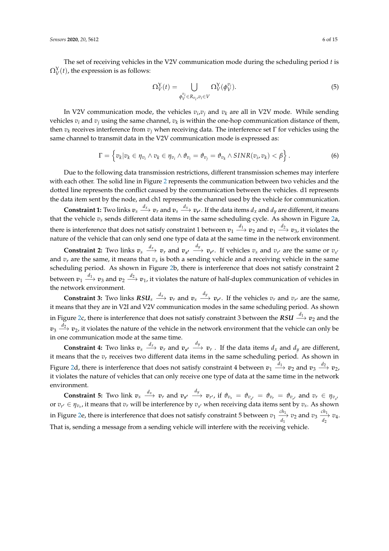The set of receiving vehicles in the V2V communication mode during the scheduling period *t* is  $\Omega^{\text{Y}}_V(t)$ , the expression is as follows:

$$
\Omega_V^Y(t) = \bigcup_{\phi_V^{v_i} \in R_{v_i}, v_i \in V} \Omega_V^Y(\phi_V^{v_i}).\tag{5}
$$

In V2V communication mode, the vehicles  $v_i v_j$  and  $v_k$  are all in V2V mode. While sending vehicles *v<sup>i</sup>* and *v<sup>j</sup>* using the same channel, *v<sup>k</sup>* is within the one-hop communication distance of them, then *v<sup>k</sup>* receives interference from *v<sup>j</sup>* when receiving data. The interference set Γ for vehicles using the same channel to transmit data in the V2V communication mode is expressed as:

$$
\Gamma = \left\{ v_k | v_k \in \eta_{v_i} \land v_k \in \eta_{v_i} \land \vartheta_{v_i} = \vartheta_{v_j} = \vartheta_{v_k} \land SINR(v_i,v_k) < \beta \right\}.
$$
 (6)

Due to the following data transmission restrictions, different transmission schemes may interfere with each other. The solid line in Figure [2](#page-6-0) represents the communication between two vehicles and the dotted line represents the conflict caused by the communication between the vehicles. d1 represents the data item sent by the node, and ch1 represents the channel used by the vehicle for communication.

**Constraint 1:** Two links  $v_s \xrightarrow{d_x} v_r$  and  $v_s \xrightarrow{d_x} v_{r'}$ . If the data items  $d_x$  and  $d_y$  are different, it means that the vehicle  $v_s$  sends different data items in the same scheduling cycle. As shown in Figure [2a](#page-6-0), there is interference that does not satisfy constraint 1 between  $v_1 \stackrel{d_1}{\longrightarrow} v_2$  and  $v_1 \stackrel{d_2}{\longrightarrow} v_3$ , it violates the nature of the vehicle that can only send one type of data at the same time in the network environment.

**Constraint 2:** Two links  $v_s \xrightarrow{d_x} v_r$  and  $v_{s'} \xrightarrow{d_y} v_{r'}$ . If vehicles  $v_s$  and  $v_{r'}$  are the same or  $v_{s'}$ and *v<sup>r</sup>* are the same, it means that *v<sup>s</sup>* is both a sending vehicle and a receiving vehicle in the same scheduling period. As shown in Figure [2b](#page-6-0), there is interference that does not satisfy constraint 2 between  $v_1 \stackrel{d_1}{\longrightarrow} v_3$  and  $v_2 \stackrel{d_2}{\longrightarrow} v_1$ , it violates the nature of half-duplex communication of vehicles in the network environment.

**Constraint 3:** Two links  $RSU_s \stackrel{d_x}{\longrightarrow} v_r$  and  $v_s \stackrel{d_y}{\longrightarrow} v_{r'}$ . If the vehicles  $v_r$  and  $v_{r'}$  are the same, it means that they are in V2I and V2V communication modes in the same scheduling period. As shown in Figure [2c](#page-6-0), there is interference that does not satisfy constraint 3 between the *RSU <sup>d</sup>*<sup>1</sup> −→ *<sup>v</sup>*<sup>2</sup> and the  $v_3 \stackrel{d_2}{\longrightarrow} v_2$ , it violates the nature of the vehicle in the network environment that the vehicle can only be in one communication mode at the same time.

**Constraint 4:** Two links  $v_s \xrightarrow{d_x} v_r$  and  $v_{s'} \xrightarrow{d_y} v_r$ . If the data items  $d_x$  and  $d_y$  are different, it means that the  $v_r$  receives two different data items in the same scheduling period. As shown in Figure [2d](#page-6-0), there is interference that does not satisfy constraint 4 between  $v_1 \stackrel{d_1}{\longrightarrow} v_2$  and  $v_3 \stackrel{d_2}{\longrightarrow} v_2$ , it violates the nature of vehicles that can only receive one type of data at the same time in the network environment.

**Constraint 5:** Two link  $v_s \xrightarrow{d_x} v_r$  and  $v_{s'} \xrightarrow{d_y} v_{r'}$ , if  $\vartheta_{v_s} = \vartheta_{v_{s'}} = \vartheta_{v_r} = \vartheta_{v_{r'}}$  and  $v_r \in \eta_{v_{s'}}$ or  $v_{r'} \in \eta_{v_s}$ , it means that  $v_r$  will be interference by  $v_{s'}$  when receiving data items sent by  $v_s$ . As shown in Figure [2e](#page-6-0), there is interference that does not satisfy constraint 5 between  $v_1 \frac{ch_1}{\lambda}$  $\frac{ch_1}{d_1}$   $v_2$  and  $v_3 \xrightarrow[d_2]{ch_1}$  $\frac{d}{d_2}$   $v_4$ . That is, sending a message from a sending vehicle will interfere with the receiving vehicle.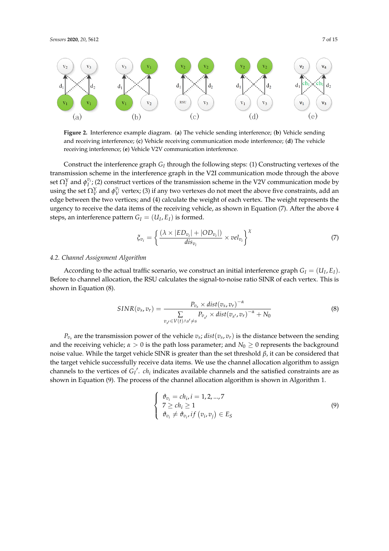<span id="page-6-0"></span>

**Figure 2.** Interference example diagram. (**a**) The vehicle sending interference; (**b**) Vehicle sending and receiving interference; (**c**) Vehicle receiving communication mode interference; (**d**) The vehicle receiving interference; (**e**) Vehicle V2V communication interference.

Construct the interference graph *G<sup>I</sup>* through the following steps: (1) Constructing vertexes of the transmission scheme in the interference graph in the V2I communication mode through the above set  $\Omega_I^Y$  and  $\phi_I^{v_i}$ ; (2) construct vertices of the transmission scheme in the V2V communication mode by using the set  $\Omega^Y_V$  and  $\phi^{v_i}_V$  vertex; (3) if any two vertexes do not meet the above five constraints, add an edge between the two vertices; and (4) calculate the weight of each vertex. The weight represents the urgency to receive the data items of the receiving vehicle, as shown in Equation (7). After the above 4 steps, an interference pattern  $G_I = (U_I, E_I)$  is formed.

$$
\xi_{v_i} = \left\{ \frac{(\lambda \times |ED_{v_i}| + |OD_{v_i}|)}{dis_{v_i}} \times vel_{v_i} \right\}^{\chi}
$$
\n(7)

## *4.2. Channel Assignment Algorithm*

According to the actual traffic scenario, we construct an initial interference graph  $G_I = (U_I, E_I)$ . Before to channel allocation, the RSU calculates the signal-to-noise ratio SINR of each vertex. This is shown in Equation (8).

$$
SINR(vs, vr) = \frac{P_{vs} \times dist(vs, vr)^{-\alpha}}{\sum_{vs' \in V(t) \land s' \neq s} P_{vs'} \times dist(vs', vr)^{-\alpha} + N_0}
$$
(8)

 $P_{v_s}$  are the transmission power of the vehicle  $v_s$ ; *dist*( $v_s$ ,  $v_r$ ) is the distance between the sending and the receiving vehicle;  $\alpha > 0$  is the path loss parameter; and  $N_0 \ge 0$  represents the background noise value. While the target vehicle SINR is greater than the set threshold *β*, it can be considered that the target vehicle successfully receive data items. We use the channel allocation algorithm to assign channels to the vertices of  $G_I'$ .  $ch_i$  indicates available channels and the satisfied constraints are as shown in Equation (9). The process of the channel allocation algorithm is shown in Algorithm 1.

$$
\begin{cases}\n\vartheta_{v_i} = ch_i, i = 1, 2, ..., 7 \\
7 \ge ch_i \ge 1 \\
\vartheta_{v_i} \neq \vartheta_{v_i}, if (v_i, v_j) \in E_S\n\end{cases}
$$
\n(9)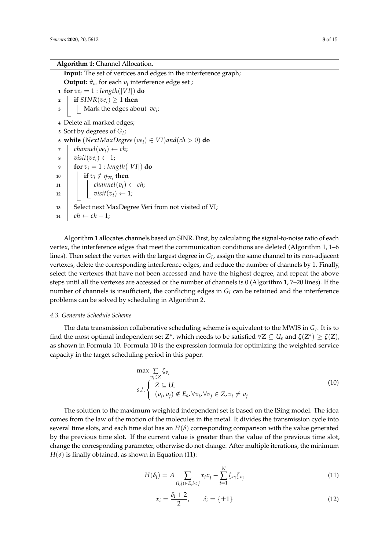## **Algorithm 1:** Channel Allocation.

**Input:** The set of vertices and edges in the interference graph; **Output:**  $\vartheta_{v_i}$  for each  $v_i$  interference edge set ; **for**  $ve_i = 1$  **:**  $length(|VI|)$  **do if**  $SINR(ve_i) \ge 1$  **then**  Mark the edges about *ve<sup>i</sup>* ; Delete all marked edges; Sort by degrees of *G<sup>I</sup>* ; **while** (*NextMaxDegree*(*vei*) ∈ *V I*)*and*(*ch* > 0) **do**  $\tau$  | *channel*(*ve*<sub>*i*</sub>)  $\leftarrow$  *ch*;  $\forall$  *visit*(*ve*<sub>*i*</sub>)  $\leftarrow$  1; **for**  $v_i = 1$  : length(|VI|) **do if**  $v_i \notin \eta_{ve_i}$  then  $\left| \begin{array}{c} \ \ \end{array} \right|$  *channel* $(v_i) \leftarrow ch;$  $\vert$  *visit* $(v_i) \leftarrow 1$ ; 13 | Select next MaxDegree Veri from not visited of VI;  $14 \mid ch \leftarrow ch - 1;$ 

Algorithm 1 allocates channels based on SINR. First, by calculating the signal-to-noise ratio of each vertex, the interference edges that meet the communication conditions are deleted (Algorithm 1, 1–6 lines). Then select the vertex with the largest degree in *G<sup>I</sup>* , assign the same channel to its non-adjacent vertexes, delete the corresponding interference edges, and reduce the number of channels by 1. Finally, select the vertexes that have not been accessed and have the highest degree, and repeat the above steps until all the vertexes are accessed or the number of channels is 0 (Algorithm 1, 7–20 lines). If the number of channels is insufficient, the conflicting edges in  $G_I$  can be retained and the interference problems can be solved by scheduling in Algorithm 2.

#### *4.3. Generate Schedule Scheme*

The data transmission collaborative scheduling scheme is equivalent to the MWIS in *G<sup>I</sup>* . It is to find the most optimal independent set  $Z^*$ , which needs to be satisfied  $\forall Z \subseteq U_s$  and  $\zeta(Z^*) \geq \zeta(Z)$ , as shown in Formula 10. Formula 10 is the expression formula for optimizing the weighted service capacity in the target scheduling period in this paper.

$$
\max \sum_{v_i \in Z} \zeta_{v_i}
$$
\n
$$
s.t. \begin{cases} Z \subseteq U_s \\ (v_i, v_j) \notin E_s, \forall v_i, \forall v_j \in Z, v_i \neq v_j \end{cases} \tag{10}
$$

The solution to the maximum weighted independent set is based on the ISing model. The idea comes from the law of the motion of the molecules in the metal. It divides the transmission cycle into several time slots, and each time slot has an  $H(\delta)$  corresponding comparison with the value generated by the previous time slot. If the current value is greater than the value of the previous time slot, change the corresponding parameter, otherwise do not change. After multiple iterations, the minimum  $H(\delta)$  is finally obtained, as shown in Equation (11):

$$
H(\delta_i) = A \sum_{(i,j)\in E, i < j} x_i x_j - \sum_{i=1}^N \zeta_{v_i} \zeta_{v_j} \tag{11}
$$

$$
x_i = \frac{\delta_i + 2}{2}, \qquad \delta_i = \{\pm 1\}
$$
\n<sup>(12)</sup>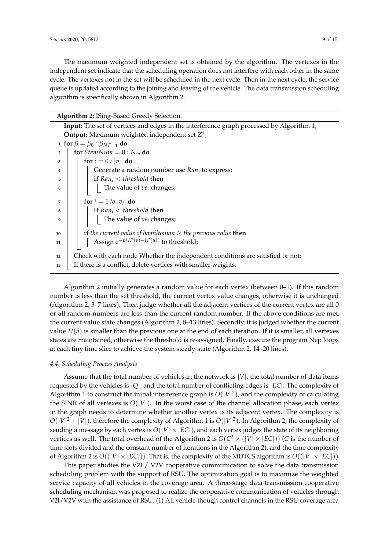The maximum weighted independent set is obtained by the algorithm. The vertexes in the independent set indicate that the scheduling operation does not interfere with each other in the same cycle. The vertexes not in the set will be scheduled in the next cycle. Then in the next cycle, the service queue is updated according to the joining and leaving of the vehicle. The data transmission scheduling algorithm is specifically shown in Algorithm 2.

## **Algorithm 2:** ISing-Based Greedy Selection.

|                                                         | Input: The set of vertices and edges in the interference graph processed by Algorithm 1; |  |  |  |  |  |  |
|---------------------------------------------------------|------------------------------------------------------------------------------------------|--|--|--|--|--|--|
| <b>Output:</b> Maximum weighted independent set $Z^*$ ; |                                                                                          |  |  |  |  |  |  |
|                                                         | 1 for $\beta = \beta_0 : \beta_{NT-1}$ do                                                |  |  |  |  |  |  |
| $\overline{2}$                                          | for <i>StemNum</i> = $0: N_{eq}$ do                                                      |  |  |  |  |  |  |
| 3                                                       | for $i = 0$ : $ v_i $ do                                                                 |  |  |  |  |  |  |
| $\overline{4}$                                          | Generate a random number use $Ran_i$ to express;                                         |  |  |  |  |  |  |
| 5                                                       | if $Ran_i < threshold$ then                                                              |  |  |  |  |  |  |
| -6                                                      | The value of $ve_i$ changes;                                                             |  |  |  |  |  |  |
| $\overline{7}$                                          | for $i = 1$ to $ v_i $ do                                                                |  |  |  |  |  |  |
| 8                                                       | if $Ran_i$ < threshold then                                                              |  |  |  |  |  |  |
| - 9                                                     | The value of $ve_i$ changes;                                                             |  |  |  |  |  |  |
| 10                                                      | <b>if</b> the current value of hamiltonian $\geq$ the previous value <b>then</b>         |  |  |  |  |  |  |
| 11                                                      | Assign $e^{-\beta(H'(v)-H'(u))}$ to threshold;                                           |  |  |  |  |  |  |
| 12                                                      | Check with each node Whether the independent conditions are satisfied or not;            |  |  |  |  |  |  |
| 13                                                      | If there is a conflict, delete vertices with smaller weights;                            |  |  |  |  |  |  |

Algorithm 2 initially generates a random value for each vertex (between 0–1). If this random number is less than the set threshold, the current vertex value changes, otherwise it is unchanged (Algorithm 2, 3–7 lines). Then judge whether all the adjacent vertices of the current vertex are all 0 or all random numbers are less than the current random number. If the above conditions are met, the current value state changes (Algorithm 2, 8–13 lines). Secondly, it is judged whether the current value  $H(\delta)$  is smaller than the previous one at the end of each iteration. If it is smaller, all vertexes states are maintained, otherwise the threshold is re-assigned. Finally, execute the program Nep loops at each tiny time slice to achieve the system steady-state (Algorithm 2, 14–20 lines).

#### *4.4. Scheduling Process Analysis*

Assume that the total number of vehicles in the network is  $|V|$ , the total number of data items requested by the vehicles is |*Q*|, and the total number of conflicting edges is |*EC*|. The complexity of Algorithm 1 to construct the initial interference graph is  $O(|V|^2)$ , and the complexity of calculating the SINR of all vertexes is  $O(|V|)$ . In the worst case of the channel allocation phase, each vertex in the graph needs to determine whether another vertex is its adjacent vertex. The complexity is  $O(|V|^2 + |V|)$ , therefore the complexity of Algorithm 1 is  $O(|V|^2)$ . In Algorithm 2, the complexity of sending a message by each vertex is  $O(|V| \times |EC|)$ , and each vertex judges the state of its neighboring vertices as well. The total overhead of the Algorithm 2 is  $O(C^2\times (|V|\times |EC|))$  (C is the number of time slots divided and the constant number of iterations in the Algorithm 2), and the time complexity of Algorithm 2 is  $O((|V| \times |EC|))$ . That is, the complexity of the MDTCS algorithm is  $O((|V| \times |EC|))$ .

This paper studies the V2I / V2V cooperative communication to solve the data transmission scheduling problem with the support of RSU. The optimization goal is to maximize the weighted service capacity of all vehicles in the coverage area. A three-stage data transmission cooperative scheduling mechanism was proposed to realize the cooperative communication of vehicles through V2I/V2V with the assistance of RSU. (1) All vehicle though control channels in the RSU coverage area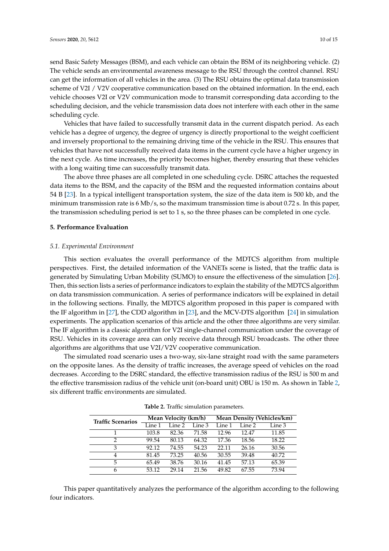send Basic Safety Messages (BSM), and each vehicle can obtain the BSM of its neighboring vehicle. (2) The vehicle sends an environmental awareness message to the RSU through the control channel. RSU can get the information of all vehicles in the area. (3) The RSU obtains the optimal data transmission scheme of V2I / V2V cooperative communication based on the obtained information. In the end, each vehicle chooses V2I or V2V communication mode to transmit corresponding data according to the scheduling decision, and the vehicle transmission data does not interfere with each other in the same scheduling cycle.

Vehicles that have failed to successfully transmit data in the current dispatch period. As each vehicle has a degree of urgency, the degree of urgency is directly proportional to the weight coefficient and inversely proportional to the remaining driving time of the vehicle in the RSU. This ensures that vehicles that have not successfully received data items in the current cycle have a higher urgency in the next cycle. As time increases, the priority becomes higher, thereby ensuring that these vehicles with a long waiting time can successfully transmit data.

The above three phases are all completed in one scheduling cycle. DSRC attaches the requested data items to the BSM, and the capacity of the BSM and the requested information contains about 54 B [\[23\]](#page-14-1). In a typical intelligent transportation system, the size of the data item is 500 kb, and the minimum transmission rate is 6 Mb/s, so the maximum transmission time is about 0.72 s. In this paper, the transmission scheduling period is set to 1 s, so the three phases can be completed in one cycle.

#### <span id="page-9-0"></span>**5. Performance Evaluation**

#### *5.1. Experimental Environment*

This section evaluates the overall performance of the MDTCS algorithm from multiple perspectives. First, the detailed information of the VANETs scene is listed, that the traffic data is generated by Simulating Urban Mobility (SUMO) to ensure the effectiveness of the simulation [\[26\]](#page-14-4). Then, this section lists a series of performance indicators to explain the stability of the MDTCS algorithm on data transmission communication. A series of performance indicators will be explained in detail in the following sections. Finally, the MDTCS algorithm proposed in this paper is compared with the IF algorithm in [\[27\]](#page-14-5), the CDD algorithm in [\[23\]](#page-14-1), and the MCV-DTS algorithm [\[24\]](#page-14-2) in simulation experiments. The application scenarios of this article and the other three algorithms are very similar. The IF algorithm is a classic algorithm for V2I single-channel communication under the coverage of RSU. Vehicles in its coverage area can only receive data through RSU broadcasts. The other three algorithms are algorithms that use V2I/V2V cooperative communication.

The simulated road scenario uses a two-way, six-lane straight road with the same parameters on the opposite lanes. As the density of traffic increases, the average speed of vehicles on the road decreases. According to the DSRC standard, the effective transmission radius of the RSU is 500 m and the effective transmission radius of the vehicle unit (on-board unit) OBU is 150 m. As shown in Table [2,](#page-9-1) six different traffic environments are simulated.

<span id="page-9-1"></span>

| <b>Traffic Scenarios</b> | Mean Velocity (km/h) |        |        | Mean Density (Vehicles/km) |        |        |
|--------------------------|----------------------|--------|--------|----------------------------|--------|--------|
|                          | Line 1               | Line 2 | Line 3 | Line 1                     | Line 2 | Line 3 |
| 1                        | 103.8                | 82.36  | 71.58  | 12.96                      | 12.47  | 11.85  |
| $\mathfrak{D}$           | 99.54                | 80.13  | 64.32  | 17.36                      | 18.56  | 18.22  |
| 3                        | 92.12                | 74.55  | 54.23  | 22.11                      | 26.16  | 30.56  |
| 4                        | 81.45                | 73.25  | 40.56  | 30.55                      | 39.48  | 40.72  |
| 5                        | 65.49                | 38.76  | 30.16  | 41.45                      | 57.13  | 65.39  |
| 6                        | 53.12                | 29.14  | 21.56  | 49.82                      | 67.55  | 73.94  |

**Table 2.** Traffic simulation parameters.

This paper quantitatively analyzes the performance of the algorithm according to the following four indicators.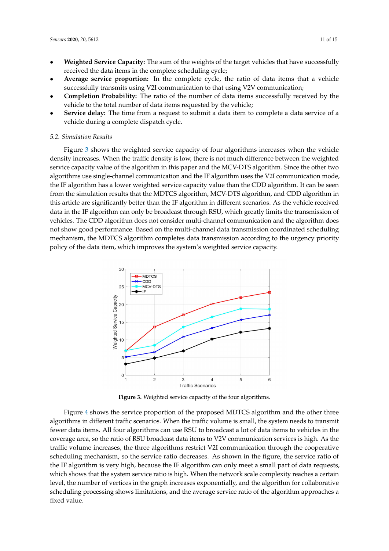- **Weighted Service Capacity:** The sum of the weights of the target vehicles that have successfully received the data items in the complete scheduling cycle;
- **Average service proportion:** In the complete cycle, the ratio of data items that a vehicle successfully transmits using V2I communication to that using V2V communication;
- **Completion Probability:** The ratio of the number of data items successfully received by the vehicle to the total number of data items requested by the vehicle;
- **Service delay:** The time from a request to submit a data item to complete a data service of a vehicle during a complete dispatch cycle.

#### *5.2. Simulation Results*

Figure [3](#page-10-0) shows the weighted service capacity of four algorithms increases when the vehicle density increases. When the traffic density is low, there is not much difference between the weighted service capacity value of the algorithm in this paper and the MCV-DTS algorithm. Since the other two algorithms use single-channel communication and the IF algorithm uses the V2I communication mode, the IF algorithm has a lower weighted service capacity value than the CDD algorithm. It can be seen from the simulation results that the MDTCS algorithm, MCV-DTS algorithm, and CDD algorithm in this article are significantly better than the IF algorithm in different scenarios. As the vehicle received data in the IF algorithm can only be broadcast through RSU, which greatly limits the transmission of vehicles. The CDD algorithm does not consider multi-channel communication and the algorithm does not show good performance. Based on the multi-channel data transmission coordinated scheduling mechanism, the MDTCS algorithm completes data transmission according to the urgency priority policy of the data item, which improves the system's weighted service capacity.

<span id="page-10-0"></span>

**Figure 3.** Weighted service capacity of the four algorithms.

Figure [4](#page-11-0) shows the service proportion of the proposed MDTCS algorithm and the other three algorithms in different traffic scenarios. When the traffic volume is small, the system needs to transmit fewer data items. All four algorithms can use RSU to broadcast a lot of data items to vehicles in the coverage area, so the ratio of RSU broadcast data items to V2V communication services is high. As the traffic volume increases, the three algorithms restrict V2I communication through the cooperative scheduling mechanism, so the service ratio decreases. As shown in the figure, the service ratio of the IF algorithm is very high, because the IF algorithm can only meet a small part of data requests, which shows that the system service ratio is high. When the network scale complexity reaches a certain level, the number of vertices in the graph increases exponentially, and the algorithm for collaborative scheduling processing shows limitations, and the average service ratio of the algorithm approaches a fixed value.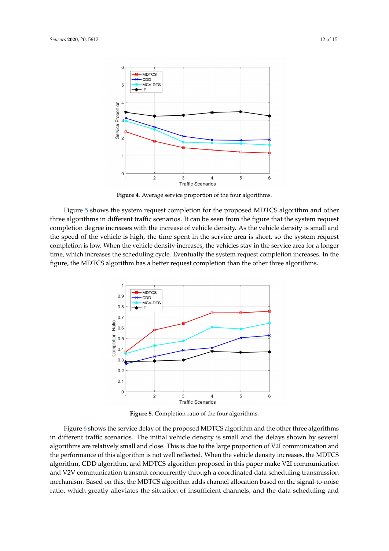<span id="page-11-0"></span>

**Figure 4.** Average service proportion of the four algorithms.

Figure [5](#page-11-1) shows the system request completion for the proposed MDTCS algorithm and other three algorithms in different traffic scenarios. It can be seen from the figure that the system request completion degree increases with the increase of vehicle density. As the vehicle density is small and the speed of the vehicle is high, the time spent in the service area is short, so the system request completion is low. When the vehicle density increases, the vehicles stay in the service area for a longer time, which increases the scheduling cycle. Eventually the system request completion increases. In the figure, the MDTCS algorithm has a better request completion than the other three algorithms.

<span id="page-11-1"></span>

**Figure 5.** Completion ratio of the four algorithms.

Figure [6](#page-12-1) shows the service delay of the proposed MDTCS algorithm and the other three algorithms in different traffic scenarios. The initial vehicle density is small and the delays shown by several algorithms are relatively small and close. This is due to the large proportion of V2I communication and the performance of this algorithm is not well reflected. When the vehicle density increases, the MDTCS algorithm, CDD algorithm, and MDTCS algorithm proposed in this paper make V2I communication and V2V communication transmit concurrently through a coordinated data scheduling transmission mechanism. Based on this, the MDTCS algorithm adds channel allocation based on the signal-to-noise ratio, which greatly alleviates the situation of insufficient channels, and the data scheduling and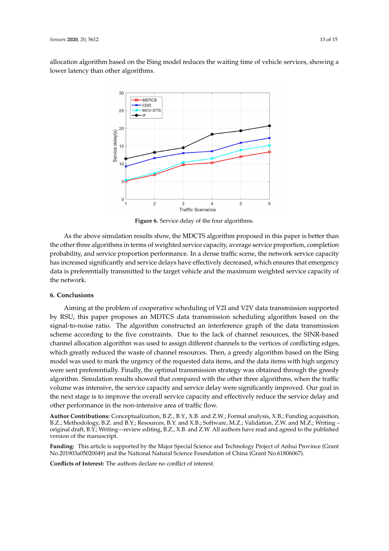<span id="page-12-1"></span>allocation algorithm based on the ISing model reduces the waiting time of vehicle services, showing a lower latency than other algorithms.



**Figure 6.** Service delay of the four algorithms.

As the above simulation results show, the MDCTS algorithm proposed in this paper is better than the other three algorithms in terms of weighted service capacity, average service proportion, completion probability, and service proportion performance. In a dense traffic scene, the network service capacity has increased significantly and service delays have effectively decreased, which ensures that emergency data is preferentially transmitted to the target vehicle and the maximum weighted service capacity of the network.

## <span id="page-12-0"></span>**6. Conclusions**

Aiming at the problem of cooperative scheduling of V2I and V2V data transmission supported by RSU, this paper proposes an MDTCS data transmission scheduling algorithm based on the signal-to-noise ratio. The algorithm constructed an interference graph of the data transmission scheme according to the five constraints. Due to the lack of channel resources, the SINR-based channel allocation algorithm was used to assign different channels to the vertices of conflicting edges, which greatly reduced the waste of channel resources. Then, a greedy algorithm based on the ISing model was used to mark the urgency of the requested data items, and the data items with high urgency were sent preferentially. Finally, the optimal transmission strategy was obtained through the greedy algorithm. Simulation results showed that compared with the other three algorithms, when the traffic volume was intensive, the service capacity and service delay were significantly improved. Our goal in the next stage is to improve the overall service capacity and effectively reduce the service delay and other performance in the non-intensive area of traffic flow.

**Author Contributions:** Conceptualization, B.Z., B.Y., X.B. and Z.W.; Formal analysis, X.B.; Funding acquisition, B.Z.; Methodology, B.Z. and B.Y.; Resources, B.Y. and X.B.; Software, M.Z.; Validation, Z.W. and M.Z.; Writing – original draft, B.Y.; Writing—review editing, B.Z., X.B. and Z.W. All authors have read and agreed to the published version of the manuscript.

**Funding:** This article is supported by the Major Special Science and Technology Project of Anhui Province (Grant No.201903a05020049) and the National Natural Science Foundation of China (Grant No.61806067).

**Conflicts of Interest:** The authors declare no conflict of interest.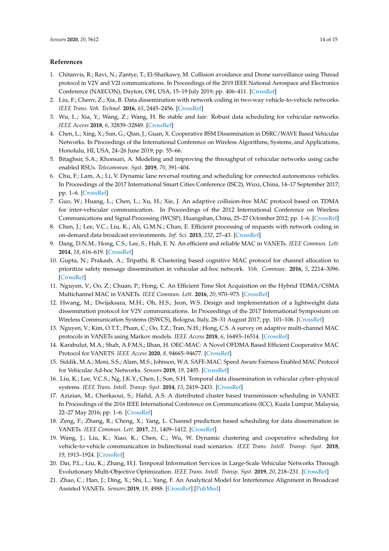## **References**

- <span id="page-13-0"></span>1. Chitanvis, R.; Ravi, N.; Zantye, T.; El-Sharkawy, M. Collision avoidance and Drone surveillance using Thread protocol in V2V and V2I communications. In Proceedings of the 2019 IEEE National Aerospace and Electronics Conference (NAECON), Dayton, OH, USA, 15–19 July 2019; pp. 406–411. [\[CrossRef\]](http://dx.doi.org/10.1109/NAECON46414.2019.9058170)
- <span id="page-13-1"></span>2. Liu, F.; Chenv, Z.; Xia, B. Data dissemination with network coding in two-way vehicle-to-vehicle networks. *IEEE Trans. Veh. Technol.* **2016**, *65*, 2445–2456. [\[CrossRef\]](http://dx.doi.org/10.1109/TVT.2015.2424915)
- <span id="page-13-2"></span>3. Wu, L.; Xia, Y.; Wang, Z.; Wang, H. Be stable and fair: Robust data scheduling for vehicular networks. *IEEE Access* **2018**, *6*, 32839–32849. [\[CrossRef\]](http://dx.doi.org/10.1109/ACCESS.2018.2843175)
- <span id="page-13-3"></span>4. Chen, L.; Xing, X.; Sun, G.; Qian, J.; Guan, X. Cooperative BSM Dissemination in DSRC/WAVE Based Vehicular Networks. In Proceedings of the International Conference on Wireless Algorithms, Systems, and Applications, Honolulu, HI, USA, 24–26 June 2019; pp. 55–66.
- <span id="page-13-4"></span>5. Bitaghsir, S.A.; Khonsari, A. Modeling and improving the throughput of vehicular networks using cache enabled RSUs. *Telecommun. Syst.* **2019**, *70*, 391–404.
- <span id="page-13-5"></span>6. Chu, F.; Lam, A.; Li, V. Dynamic lane reversal routing and scheduling for connected autonomous vehicles. In Proceedings of the 2017 International Smart Cities Conference (ISC2), Wuxi, China, 14–17 September 2017; pp. 1–6. [\[CrossRef\]](http://dx.doi.org/10.1109/ISC2.2017.8090813)
- <span id="page-13-6"></span>7. Guo, W.; Huang, L.; Chen, L.; Xu, H.; Xie, J. An adaptive collision-free MAC protocol based on TDMA for inter-vehicular communication. In Proceedings of the 2012 International Conference on Wireless Communications and Signal Processing (WCSP), Huangshan, China, 25–27 Octomber 2012; pp. 1–6. [\[CrossRef\]](http://dx.doi.org/10.1109/WCSP.2012.6542833)
- <span id="page-13-7"></span>8. Chen, J.; Lee, V.C.; Liu, K.; Ali, G.M.N.; Chan, E. Efficient processing of requests with network coding in on-demand data broadcast environments. *Inf. Sci.* **2013**, *232*, 27–43. [\[CrossRef\]](http://dx.doi.org/10.1016/j.ins.2012.12.044)
- <span id="page-13-8"></span>9. Dang, D.N.M.; Hong, C.S.; Lee, S.; Huh, E. N. An efficient and reliable MAC in VANETs. *IEEE Commun. Lett.* **2014**, *18*, 616–619. [\[CrossRef\]](http://dx.doi.org/10.1109/LCOMM.2014.030114.132504)
- <span id="page-13-9"></span>10. Gupta, N.; Prakash, A.; Tripathi, R. Clustering based cognitive MAC protocol for channel allocation to prioritize safety message dissemination in vehicular ad-hoc network. *Veh. Commun.* **2016**, *5*, 2214–3096. [\[CrossRef\]](http://dx.doi.org/10.1016/j.vehcom.2016.09.004)
- <span id="page-13-10"></span>11. Nguyen, V.; Oo, Z.; Chuan, P.; Hong, C. An Efficient Time Slot Acquisition on the Hybrid TDMA/CSMA Multichannel MAC in VANETs. *IEEE Commun. Lett.* **2016**, *20*, 970–973. [\[CrossRef\]](http://dx.doi.org/10.1109/LCOMM.2016.2536672)
- <span id="page-13-11"></span>12. Hwang, M.; Dwijaksara, M.H.; Oh, H.S.; Jeon, W.S. Design and implementation of a lightweight data dissemination protocol for V2V communications. In Proceedings of the 2017 International Symposium on Wireless Communication Systems (ISWCS), Bologna, Italy, 28–31 August 2017; pp. 101–106. [\[CrossRef\]](http://dx.doi.org/10.1109/ISWCS.2017.8108091)
- <span id="page-13-12"></span>13. Nguyen, V.; Kim, O.T.T.; Pham, C.; Oo, T.Z.; Tran, N.H.; Hong, C.S. A survey on adaptive multi-channel MAC protocols in VANETs using Markov models. *IEEE Access* **2018**, *6*, 16493–16514. [\[CrossRef\]](http://dx.doi.org/10.1109/ACCESS.2018.2814600)
- <span id="page-13-13"></span>14. Karabulut, M.A.; Shah, A.F.M.S.; Ilhan, H. OEC-MAC: A Novel OFDMA Based Efficient Cooperative MAC Protocol for VANETS. *IEEE Access* **2020**, *8*, 94665–94677. [\[CrossRef\]](http://dx.doi.org/10.1109/ACCESS.2020.2995807)
- <span id="page-13-14"></span>15. Siddik, M.A.; Moni, S.S.; Alam, M.S.; Johnson, W.A. SAFE-MAC: Speed Aware Fairness Enabled MAC Protocol for Vehicular Ad-hoc Networks. *Sensors* **2019**, *19*, 2405. [\[CrossRef\]](http://dx.doi.org/10.3390/s19102405)
- <span id="page-13-15"></span>16. Liu, K.; Lee, V.C.S.; Ng, J.K.Y.; Chen, J.; Son, S.H. Temporal data dissemination in vehicular cyber–physical systems. *IEEE Trans. Intell. Transp. Syst.* **2014**, *15*, 2419–2431. [\[CrossRef\]](http://dx.doi.org/10.1109/TITS.2014.2316006)
- <span id="page-13-16"></span>17. Azizian, M.; Cherkaoui, S.; Hafid, A.S. A distributed cluster based transmission scheduling in VANET. In Proceedings of the 2016 IEEE International Conference on Communications (ICC), Kuala Lumpur, Malaysia, 22–27 May 2016; pp. 1–6. [\[CrossRef\]](http://dx.doi.org/10.1109/ICC.2016.7511574)
- <span id="page-13-17"></span>18. Zeng, F.; Zhang, R.; Cheng, X.; Yang, L. Channel prediction based scheduling for data dissemination in VANETs. *IEEE Commun. Lett.* **2017**, *21*, 1409–1412. [\[CrossRef\]](http://dx.doi.org/10.1109/LCOMM.2017.2676766)
- <span id="page-13-18"></span>19. Wang, J.; Liu, K.; Xiao, K.; Chen, C.; Wu, W. Dynamic clustering and cooperative scheduling for vehicle-to-vehicle communication in bidirectional road scenarios. *IEEE Trans. Intell. Transp. Syst.* **2018**, *19*, 1913–1924. [\[CrossRef\]](http://dx.doi.org/10.1109/TITS.2017.2743821)
- <span id="page-13-19"></span>20. Dai, P.L.; Liu, K.; Zhang, H.J. Temporal Information Services in Large-Scale Vehicular Networks Through Evolutionary Multi-Objective Optimization. *IEEE Trans. Intell. Transp. Syst.* **2019**, *20*, 218–231. [\[CrossRef\]](http://dx.doi.org/10.1109/TITS.2018.2803842)
- <span id="page-13-20"></span>21. Zhao, C.; Han, J.; Ding, X.; Shi, L.; Yang, F. An Analytical Model for Interference Alignment in Broadcast Assisted VANETs. *Sensors* **2019**, *19*, 4988. [\[CrossRef\]](http://dx.doi.org/10.3390/s19224988) [\[PubMed\]](http://www.ncbi.nlm.nih.gov/pubmed/31731810)